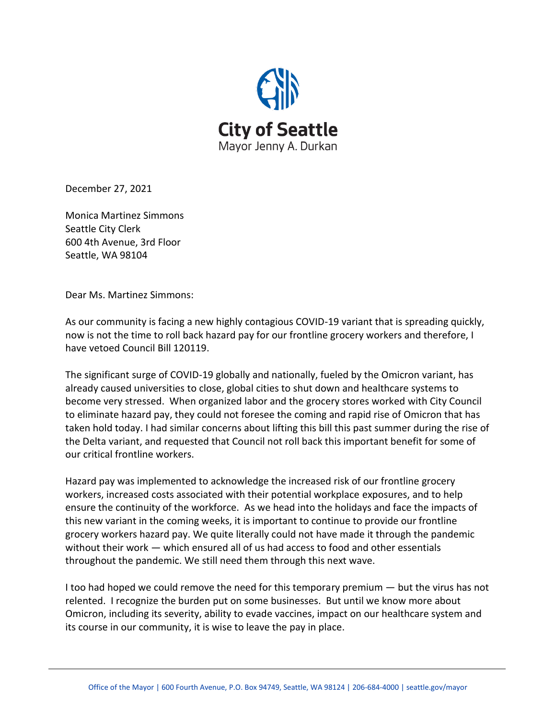

December 27, 2021

Monica Martinez Simmons Seattle City Clerk 600 4th Avenue, 3rd Floor Seattle, WA 98104

Dear Ms. Martinez Simmons:

As our community is facing a new highly contagious COVID-19 variant that is spreading quickly, now is not the time to roll back hazard pay for our frontline grocery workers and therefore, I have vetoed Council Bill 120119. 

The significant surge of COVID-19 globally and nationally, fueled by the Omicron variant, has already caused universities to close, global cities to shut down and healthcare systems to become very stressed. When organized labor and the grocery stores worked with City Council to eliminate hazard pay, they could not foresee the coming and rapid rise of Omicron that has taken hold today. I had similar concerns about lifting this bill this past summer during the rise of the Delta variant, and requested that Council not roll back this important benefit for some of our critical frontline workers.

Hazard pay was implemented to acknowledge the increased risk of our frontline grocery workers, increased costs associated with their potential workplace exposures, and to help ensure the continuity of the workforce. As we head into the holidays and face the impacts of this new variant in the coming weeks, it is important to continue to provide our frontline grocery workers hazard pay. We quite literally could not have made it through the pandemic without their work — which ensured all of us had access to food and other essentials throughout the pandemic. We still need them through this next wave.

I too had hoped we could remove the need for this temporary premium — but the virus has not relented.  I recognize the burden put on some businesses.  But until we know more about Omicron, including its severity, ability to evade vaccines, impact on our healthcare system and its course in our community, it is wise to leave the pay in place.